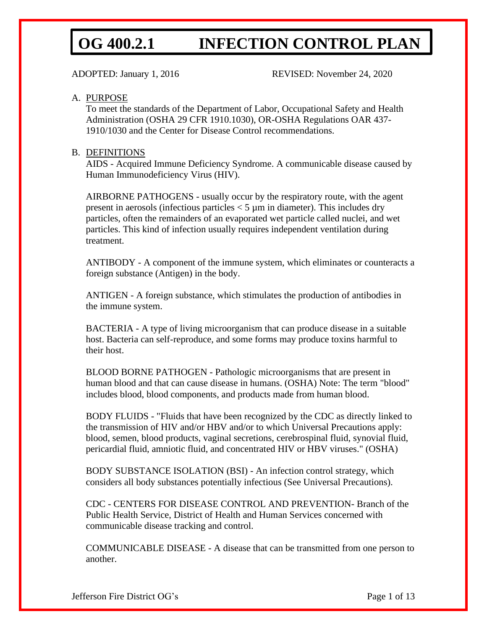ADOPTED: January 1, 2016 REVISED: November 24, 2020

### A. PURPOSE

To meet the standards of the Department of Labor, Occupational Safety and Health Administration (OSHA 29 CFR 1910.1030), OR-OSHA Regulations OAR 437- 1910/1030 and the Center for Disease Control recommendations.

#### B. DEFINITIONS

AIDS - Acquired Immune Deficiency Syndrome. A communicable disease caused by Human Immunodeficiency Virus (HIV).

AIRBORNE PATHOGENS - usually occur by the respiratory route, with the agent present in aerosols (infectious particles  $<$  5  $\mu$ m in diameter). This includes dry particles, often the remainders of an evaporated wet particle called nuclei, and wet particles. This kind of infection usually requires independent ventilation during treatment.

ANTIBODY - A component of the immune system, which eliminates or counteracts a foreign substance (Antigen) in the body.

ANTIGEN - A foreign substance, which stimulates the production of antibodies in the immune system.

BACTERIA - A type of living microorganism that can produce disease in a suitable host. Bacteria can self-reproduce, and some forms may produce toxins harmful to their host.

BLOOD BORNE PATHOGEN - Pathologic microorganisms that are present in human blood and that can cause disease in humans. (OSHA) Note: The term "blood" includes blood, blood components, and products made from human blood.

BODY FLUIDS - "Fluids that have been recognized by the CDC as directly linked to the transmission of HIV and/or HBV and/or to which Universal Precautions apply: blood, semen, blood products, vaginal secretions, cerebrospinal fluid, synovial fluid, pericardial fluid, amniotic fluid, and concentrated HIV or HBV viruses." (OSHA)

BODY SUBSTANCE ISOLATION (BSI) - An infection control strategy, which considers all body substances potentially infectious (See Universal Precautions).

CDC - CENTERS FOR DISEASE CONTROL AND PREVENTION- Branch of the Public Health Service, District of Health and Human Services concerned with communicable disease tracking and control.

COMMUNICABLE DISEASE - A disease that can be transmitted from one person to another.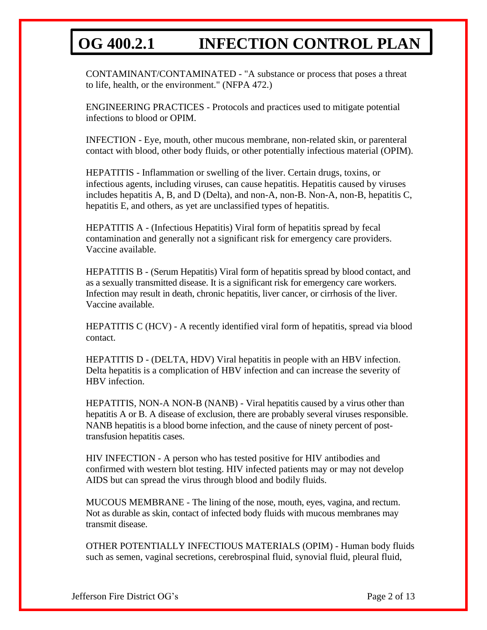CONTAMINANT/CONTAMINATED - "A substance or process that poses a threat to life, health, or the environment." (NFPA 472.)

ENGINEERING PRACTICES - Protocols and practices used to mitigate potential infections to blood or OPIM.

INFECTION - Eye, mouth, other mucous membrane, non-related skin, or parenteral contact with blood, other body fluids, or other potentially infectious material (OPIM).

HEPATITIS - Inflammation or swelling of the liver. Certain drugs, toxins, or infectious agents, including viruses, can cause hepatitis. Hepatitis caused by viruses includes hepatitis A, B, and D (Delta), and non-A, non-B. Non-A, non-B, hepatitis C, hepatitis E, and others, as yet are unclassified types of hepatitis.

HEPATITIS A - (Infectious Hepatitis) Viral form of hepatitis spread by fecal contamination and generally not a significant risk for emergency care providers. Vaccine available.

HEPATITIS B - (Serum Hepatitis) Viral form of hepatitis spread by blood contact, and as a sexually transmitted disease. It is a significant risk for emergency care workers. Infection may result in death, chronic hepatitis, liver cancer, or cirrhosis of the liver. Vaccine available.

HEPATITIS C (HCV) - A recently identified viral form of hepatitis, spread via blood contact.

HEPATITIS D - (DELTA, HDV) Viral hepatitis in people with an HBV infection. Delta hepatitis is a complication of HBV infection and can increase the severity of HBV infection.

HEPATITIS, NON-A NON-B (NANB) - Viral hepatitis caused by a virus other than hepatitis A or B. A disease of exclusion, there are probably several viruses responsible. NANB hepatitis is a blood borne infection, and the cause of ninety percent of posttransfusion hepatitis cases.

HIV INFECTION - A person who has tested positive for HIV antibodies and confirmed with western blot testing. HIV infected patients may or may not develop AIDS but can spread the virus through blood and bodily fluids.

MUCOUS MEMBRANE - The lining of the nose, mouth, eyes, vagina, and rectum. Not as durable as skin, contact of infected body fluids with mucous membranes may transmit disease.

OTHER POTENTIALLY INFECTIOUS MATERIALS (OPIM) - Human body fluids such as semen, vaginal secretions, cerebrospinal fluid, synovial fluid, pleural fluid,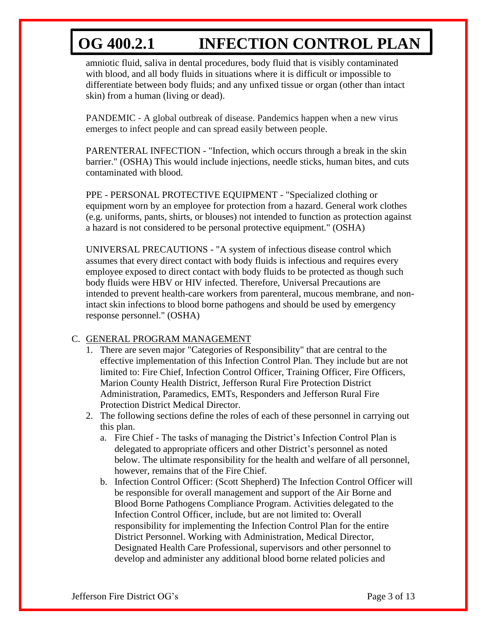amniotic fluid, saliva in dental procedures, body fluid that is visibly contaminated with blood, and all body fluids in situations where it is difficult or impossible to differentiate between body fluids; and any unfixed tissue or organ (other than intact skin) from a human (living or dead).

PANDEMIC - A global outbreak of disease. Pandemics happen when a new virus emerges to infect people and can spread easily between people.

PARENTERAL INFECTION - "Infection, which occurs through a break in the skin barrier." (OSHA) This would include injections, needle sticks, human bites, and cuts contaminated with blood.

PPE - PERSONAL PROTECTIVE EQUIPMENT - "Specialized clothing or equipment worn by an employee for protection from a hazard. General work clothes (e.g. uniforms, pants, shirts, or blouses) not intended to function as protection against a hazard is not considered to be personal protective equipment." (OSHA)

UNIVERSAL PRECAUTIONS - "A system of infectious disease control which assumes that every direct contact with body fluids is infectious and requires every employee exposed to direct contact with body fluids to be protected as though such body fluids were HBV or HIV infected. Therefore, Universal Precautions are intended to prevent health-care workers from parenteral, mucous membrane, and nonintact skin infections to blood borne pathogens and should be used by emergency response personnel." (OSHA)

### C. GENERAL PROGRAM MANAGEMENT

- 1. There are seven major "Categories of Responsibility" that are central to the effective implementation of this Infection Control Plan. They include but are not limited to: Fire Chief, Infection Control Officer, Training Officer, Fire Officers, Marion County Health District, Jefferson Rural Fire Protection District Administration, Paramedics, EMTs, Responders and Jefferson Rural Fire Protection District Medical Director.
- 2. The following sections define the roles of each of these personnel in carrying out this plan.
	- a. Fire Chief The tasks of managing the District's Infection Control Plan is delegated to appropriate officers and other District's personnel as noted below. The ultimate responsibility for the health and welfare of all personnel, however, remains that of the Fire Chief.
	- b. Infection Control Officer: (Scott Shepherd) The Infection Control Officer will be responsible for overall management and support of the Air Borne and Blood Borne Pathogens Compliance Program. Activities delegated to the Infection Control Officer, include, but are not limited to: Overall responsibility for implementing the Infection Control Plan for the entire District Personnel. Working with Administration, Medical Director, Designated Health Care Professional, supervisors and other personnel to develop and administer any additional blood borne related policies and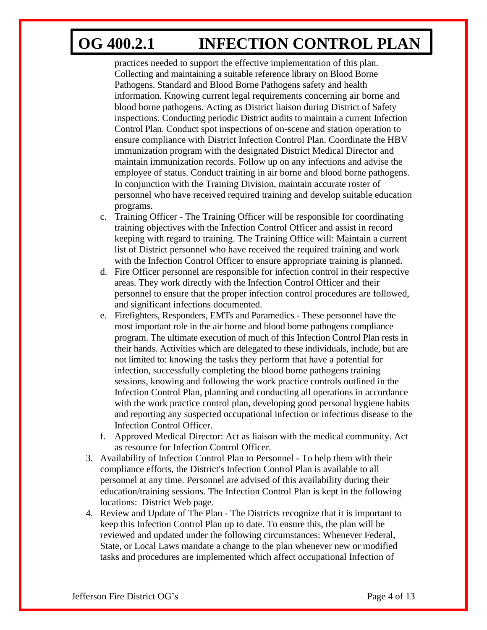practices needed to support the effective implementation of this plan. Collecting and maintaining a suitable reference library on Blood Borne Pathogens. Standard and Blood Borne Pathogens safety and health information. Knowing current legal requirements concerning air borne and blood borne pathogens. Acting as District liaison during District of Safety inspections. Conducting periodic District audits to maintain a current Infection Control Plan. Conduct spot inspections of on-scene and station operation to ensure compliance with District Infection Control Plan. Coordinate the HBV immunization program with the designated District Medical Director and maintain immunization records. Follow up on any infections and advise the employee of status. Conduct training in air borne and blood borne pathogens. In conjunction with the Training Division, maintain accurate roster of personnel who have received required training and develop suitable education programs.

- c. Training Officer The Training Officer will be responsible for coordinating training objectives with the Infection Control Officer and assist in record keeping with regard to training. The Training Office will: Maintain a current list of District personnel who have received the required training and work with the Infection Control Officer to ensure appropriate training is planned.
- d. Fire Officer personnel are responsible for infection control in their respective areas. They work directly with the Infection Control Officer and their personnel to ensure that the proper infection control procedures are followed, and significant infections documented.
- e. Firefighters, Responders, EMTs and Paramedics These personnel have the most important role in the air borne and blood borne pathogens compliance program. The ultimate execution of much of this Infection Control Plan rests in their hands. Activities which are delegated to these individuals, include, but are not limited to: knowing the tasks they perform that have a potential for infection, successfully completing the blood borne pathogens training sessions, knowing and following the work practice controls outlined in the Infection Control Plan, planning and conducting all operations in accordance with the work practice control plan, developing good personal hygiene habits and reporting any suspected occupational infection or infectious disease to the Infection Control Officer.
- f. Approved Medical Director: Act as liaison with the medical community. Act as resource for Infection Control Officer.
- 3. Availability of Infection Control Plan to Personnel To help them with their compliance efforts, the District's Infection Control Plan is available to all personnel at any time. Personnel are advised of this availability during their education/training sessions. The Infection Control Plan is kept in the following locations: District Web page.
- 4. Review and Update of The Plan The Districts recognize that it is important to keep this Infection Control Plan up to date. To ensure this, the plan will be reviewed and updated under the following circumstances: Whenever Federal, State, or Local Laws mandate a change to the plan whenever new or modified tasks and procedures are implemented which affect occupational Infection of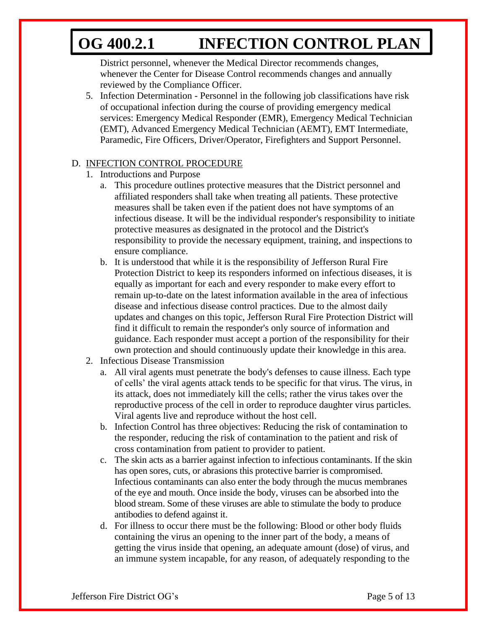District personnel, whenever the Medical Director recommends changes, whenever the Center for Disease Control recommends changes and annually reviewed by the Compliance Officer.

5. Infection Determination - Personnel in the following job classifications have risk of occupational infection during the course of providing emergency medical services: Emergency Medical Responder (EMR), Emergency Medical Technician (EMT), Advanced Emergency Medical Technician (AEMT), EMT Intermediate, Paramedic, Fire Officers, Driver/Operator, Firefighters and Support Personnel.

### D. INFECTION CONTROL PROCEDURE

- 1. Introductions and Purpose
	- a. This procedure outlines protective measures that the District personnel and affiliated responders shall take when treating all patients. These protective measures shall be taken even if the patient does not have symptoms of an infectious disease. It will be the individual responder's responsibility to initiate protective measures as designated in the protocol and the District's responsibility to provide the necessary equipment, training, and inspections to ensure compliance.
	- b. It is understood that while it is the responsibility of Jefferson Rural Fire Protection District to keep its responders informed on infectious diseases, it is equally as important for each and every responder to make every effort to remain up-to-date on the latest information available in the area of infectious disease and infectious disease control practices. Due to the almost daily updates and changes on this topic, Jefferson Rural Fire Protection District will find it difficult to remain the responder's only source of information and guidance. Each responder must accept a portion of the responsibility for their own protection and should continuously update their knowledge in this area.
- 2. Infectious Disease Transmission
	- a. All viral agents must penetrate the body's defenses to cause illness. Each type of cells' the viral agents attack tends to be specific for that virus. The virus, in its attack, does not immediately kill the cells; rather the virus takes over the reproductive process of the cell in order to reproduce daughter virus particles. Viral agents live and reproduce without the host cell.
	- b. Infection Control has three objectives: Reducing the risk of contamination to the responder, reducing the risk of contamination to the patient and risk of cross contamination from patient to provider to patient.
	- c. The skin acts as a barrier against infection to infectious contaminants. If the skin has open sores, cuts, or abrasions this protective barrier is compromised. Infectious contaminants can also enter the body through the mucus membranes of the eye and mouth. Once inside the body, viruses can be absorbed into the blood stream. Some of these viruses are able to stimulate the body to produce antibodies to defend against it.
	- d. For illness to occur there must be the following: Blood or other body fluids containing the virus an opening to the inner part of the body, a means of getting the virus inside that opening, an adequate amount (dose) of virus, and an immune system incapable, for any reason, of adequately responding to the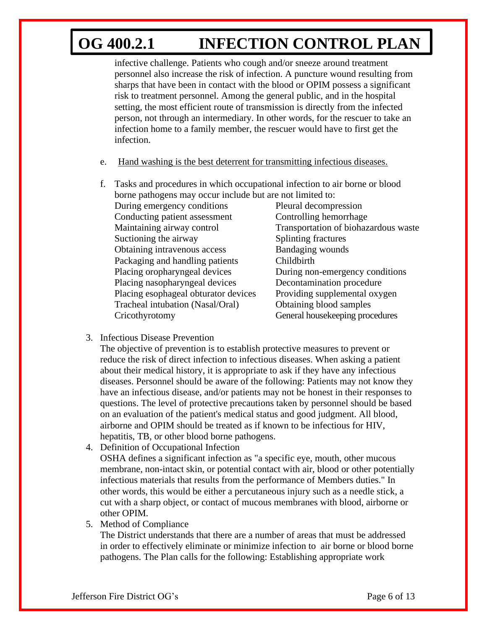infective challenge. Patients who cough and/or sneeze around treatment personnel also increase the risk of infection. A puncture wound resulting from sharps that have been in contact with the blood or OPIM possess a significant risk to treatment personnel. Among the general public, and in the hospital setting, the most efficient route of transmission is directly from the infected person, not through an intermediary. In other words, for the rescuer to take an infection home to a family member, the rescuer would have to first get the infection.

- e. Hand washing is the best deterrent for transmitting infectious diseases.
- f. Tasks and procedures in which occupational infection to air borne or blood borne pathogens may occur include but are not limited to: During emergency conditions Pleural decompression Conducting patient assessment Controlling hemorrhage Maintaining airway control Transportation of biohazardous waste Suctioning the airway Splinting fractures Obtaining intravenous access Bandaging wounds Packaging and handling patients Childbirth Placing oropharyngeal devices During non-emergency conditions Placing nasopharyngeal devices Decontamination procedure Placing esophageal obturator devices Providing supplemental oxygen Tracheal intubation (Nasal/Oral) Obtaining blood samples Cricothyrotomy General housekeeping procedures
- 3. Infectious Disease Prevention

The objective of prevention is to establish protective measures to prevent or reduce the risk of direct infection to infectious diseases. When asking a patient about their medical history, it is appropriate to ask if they have any infectious diseases. Personnel should be aware of the following: Patients may not know they have an infectious disease, and/or patients may not be honest in their responses to questions. The level of protective precautions taken by personnel should be based on an evaluation of the patient's medical status and good judgment. All blood, airborne and OPIM should be treated as if known to be infectious for HIV, hepatitis, TB, or other blood borne pathogens.

- 4. Definition of Occupational Infection OSHA defines a significant infection as "a specific eye, mouth, other mucous membrane, non-intact skin, or potential contact with air, blood or other potentially infectious materials that results from the performance of Members duties." In other words, this would be either a percutaneous injury such as a needle stick, a cut with a sharp object, or contact of mucous membranes with blood, airborne or other OPIM.
- 5. Method of Compliance

The District understands that there are a number of areas that must be addressed in order to effectively eliminate or minimize infection to air borne or blood borne pathogens. The Plan calls for the following: Establishing appropriate work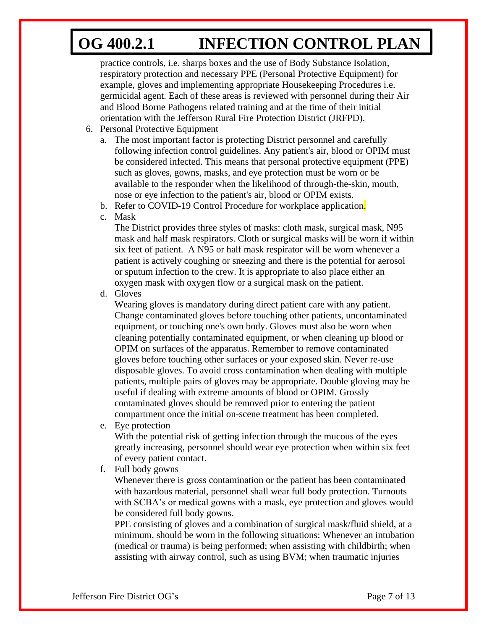practice controls, i.e. sharps boxes and the use of Body Substance Isolation, respiratory protection and necessary PPE (Personal Protective Equipment) for example, gloves and implementing appropriate Housekeeping Procedures i.e. germicidal agent. Each of these areas is reviewed with personnel during their Air and Blood Borne Pathogens related training and at the time of their initial orientation with the Jefferson Rural Fire Protection District (JRFPD).

- 6. Personal Protective Equipment
	- a. The most important factor is protecting District personnel and carefully following infection control guidelines. Any patient's air, blood or OPIM must be considered infected. This means that personal protective equipment (PPE) such as gloves, gowns, masks, and eye protection must be worn or be available to the responder when the likelihood of through-the-skin, mouth, nose or eye infection to the patient's air, blood or OPIM exists.
	- b. Refer to COVID-19 Control Procedure for workplace application.

c. Mask

The District provides three styles of masks: cloth mask, surgical mask, N95 mask and half mask respirators. Cloth or surgical masks will be worn if within six feet of patient. A N95 or half mask respirator will be worn whenever a patient is actively coughing or sneezing and there is the potential for aerosol or sputum infection to the crew. It is appropriate to also place either an oxygen mask with oxygen flow or a surgical mask on the patient.

d. Gloves

Wearing gloves is mandatory during direct patient care with any patient. Change contaminated gloves before touching other patients, uncontaminated equipment, or touching one's own body. Gloves must also be worn when cleaning potentially contaminated equipment, or when cleaning up blood or OPIM on surfaces of the apparatus. Remember to remove contaminated gloves before touching other surfaces or your exposed skin. Never re-use disposable gloves. To avoid cross contamination when dealing with multiple patients, multiple pairs of gloves may be appropriate. Double gloving may be useful if dealing with extreme amounts of blood or OPIM. Grossly contaminated gloves should be removed prior to entering the patient compartment once the initial on-scene treatment has been completed.

e. Eye protection

With the potential risk of getting infection through the mucous of the eyes greatly increasing, personnel should wear eye protection when within six feet of every patient contact.

f. Full body gowns

Whenever there is gross contamination or the patient has been contaminated with hazardous material, personnel shall wear full body protection. Turnouts with SCBA's or medical gowns with a mask, eye protection and gloves would be considered full body gowns.

PPE consisting of gloves and a combination of surgical mask/fluid shield, at a minimum, should be worn in the following situations: Whenever an intubation (medical or trauma) is being performed; when assisting with childbirth; when assisting with airway control, such as using BVM; when traumatic injuries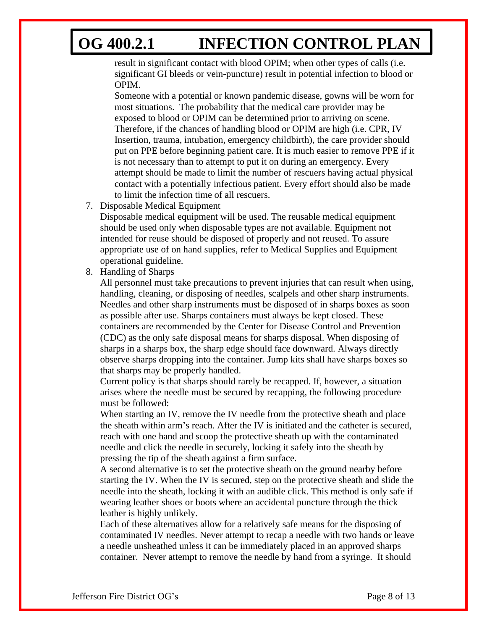result in significant contact with blood OPIM; when other types of calls (i.e. significant GI bleeds or vein-puncture) result in potential infection to blood or OPIM.

Someone with a potential or known pandemic disease, gowns will be worn for most situations. The probability that the medical care provider may be exposed to blood or OPIM can be determined prior to arriving on scene. Therefore, if the chances of handling blood or OPIM are high (i.e. CPR, IV Insertion, trauma, intubation, emergency childbirth), the care provider should put on PPE before beginning patient care. It is much easier to remove PPE if it is not necessary than to attempt to put it on during an emergency. Every attempt should be made to limit the number of rescuers having actual physical contact with a potentially infectious patient. Every effort should also be made to limit the infection time of all rescuers.

7. Disposable Medical Equipment

Disposable medical equipment will be used. The reusable medical equipment should be used only when disposable types are not available. Equipment not intended for reuse should be disposed of properly and not reused. To assure appropriate use of on hand supplies, refer to Medical Supplies and Equipment operational guideline.

8. Handling of Sharps

All personnel must take precautions to prevent injuries that can result when using, handling, cleaning, or disposing of needles, scalpels and other sharp instruments. Needles and other sharp instruments must be disposed of in sharps boxes as soon as possible after use. Sharps containers must always be kept closed. These containers are recommended by the Center for Disease Control and Prevention (CDC) as the only safe disposal means for sharps disposal. When disposing of sharps in a sharps box, the sharp edge should face downward. Always directly observe sharps dropping into the container. Jump kits shall have sharps boxes so that sharps may be properly handled.

Current policy is that sharps should rarely be recapped. If, however, a situation arises where the needle must be secured by recapping, the following procedure must be followed:

When starting an IV, remove the IV needle from the protective sheath and place the sheath within arm's reach. After the IV is initiated and the catheter is secured, reach with one hand and scoop the protective sheath up with the contaminated needle and click the needle in securely, locking it safely into the sheath by pressing the tip of the sheath against a firm surface.

A second alternative is to set the protective sheath on the ground nearby before starting the IV. When the IV is secured, step on the protective sheath and slide the needle into the sheath, locking it with an audible click. This method is only safe if wearing leather shoes or boots where an accidental puncture through the thick leather is highly unlikely.

Each of these alternatives allow for a relatively safe means for the disposing of contaminated IV needles. Never attempt to recap a needle with two hands or leave a needle unsheathed unless it can be immediately placed in an approved sharps container. Never attempt to remove the needle by hand from a syringe. It should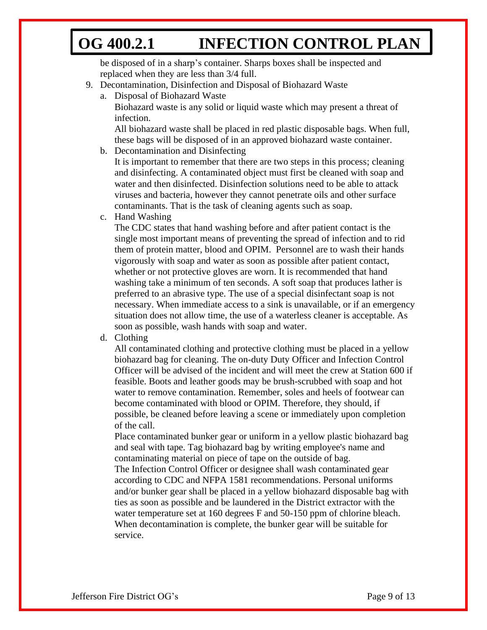be disposed of in a sharp's container. Sharps boxes shall be inspected and replaced when they are less than 3/4 full.

- 9. Decontamination, Disinfection and Disposal of Biohazard Waste
	- a. Disposal of Biohazard Waste

Biohazard waste is any solid or liquid waste which may present a threat of infection.

All biohazard waste shall be placed in red plastic disposable bags. When full, these bags will be disposed of in an approved biohazard waste container.

b. Decontamination and Disinfecting

It is important to remember that there are two steps in this process; cleaning and disinfecting. A contaminated object must first be cleaned with soap and water and then disinfected. Disinfection solutions need to be able to attack viruses and bacteria, however they cannot penetrate oils and other surface contaminants. That is the task of cleaning agents such as soap.

c. Hand Washing

The CDC states that hand washing before and after patient contact is the single most important means of preventing the spread of infection and to rid them of protein matter, blood and OPIM. Personnel are to wash their hands vigorously with soap and water as soon as possible after patient contact, whether or not protective gloves are worn. It is recommended that hand washing take a minimum of ten seconds. A soft soap that produces lather is preferred to an abrasive type. The use of a special disinfectant soap is not necessary. When immediate access to a sink is unavailable, or if an emergency situation does not allow time, the use of a waterless cleaner is acceptable. As soon as possible, wash hands with soap and water.

d. Clothing

All contaminated clothing and protective clothing must be placed in a yellow biohazard bag for cleaning. The on-duty Duty Officer and Infection Control Officer will be advised of the incident and will meet the crew at Station 600 if feasible. Boots and leather goods may be brush-scrubbed with soap and hot water to remove contamination. Remember, soles and heels of footwear can become contaminated with blood or OPIM. Therefore, they should, if possible, be cleaned before leaving a scene or immediately upon completion of the call.

Place contaminated bunker gear or uniform in a yellow plastic biohazard bag and seal with tape. Tag biohazard bag by writing employee's name and contaminating material on piece of tape on the outside of bag.

The Infection Control Officer or designee shall wash contaminated gear according to CDC and NFPA 1581 recommendations. Personal uniforms and/or bunker gear shall be placed in a yellow biohazard disposable bag with ties as soon as possible and be laundered in the District extractor with the water temperature set at 160 degrees F and 50-150 ppm of chlorine bleach. When decontamination is complete, the bunker gear will be suitable for service.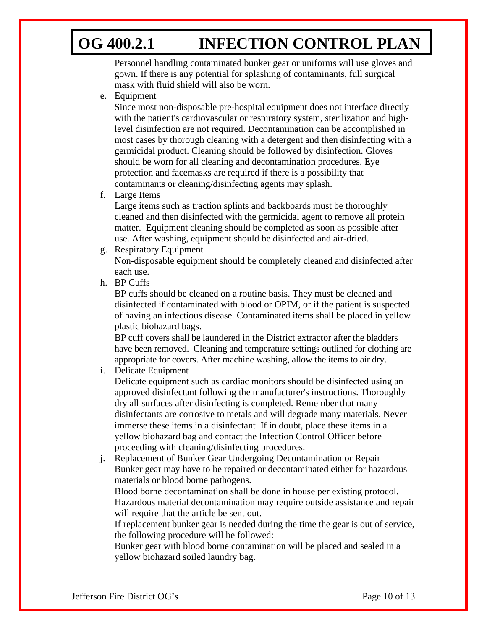Personnel handling contaminated bunker gear or uniforms will use gloves and gown. If there is any potential for splashing of contaminants, full surgical mask with fluid shield will also be worn.

e. Equipment

Since most non-disposable pre-hospital equipment does not interface directly with the patient's cardiovascular or respiratory system, sterilization and highlevel disinfection are not required. Decontamination can be accomplished in most cases by thorough cleaning with a detergent and then disinfecting with a germicidal product. Cleaning should be followed by disinfection. Gloves should be worn for all cleaning and decontamination procedures. Eye protection and facemasks are required if there is a possibility that contaminants or cleaning/disinfecting agents may splash.

f. Large Items

Large items such as traction splints and backboards must be thoroughly cleaned and then disinfected with the germicidal agent to remove all protein matter. Equipment cleaning should be completed as soon as possible after use. After washing, equipment should be disinfected and air-dried.

g. Respiratory Equipment

Non-disposable equipment should be completely cleaned and disinfected after each use.

h. BP Cuffs

BP cuffs should be cleaned on a routine basis. They must be cleaned and disinfected if contaminated with blood or OPIM, or if the patient is suspected of having an infectious disease. Contaminated items shall be placed in yellow plastic biohazard bags.

BP cuff covers shall be laundered in the District extractor after the bladders have been removed. Cleaning and temperature settings outlined for clothing are appropriate for covers. After machine washing, allow the items to air dry.

i. Delicate Equipment

Delicate equipment such as cardiac monitors should be disinfected using an approved disinfectant following the manufacturer's instructions. Thoroughly dry all surfaces after disinfecting is completed. Remember that many disinfectants are corrosive to metals and will degrade many materials. Never immerse these items in a disinfectant. If in doubt, place these items in a yellow biohazard bag and contact the Infection Control Officer before proceeding with cleaning/disinfecting procedures.

j. Replacement of Bunker Gear Undergoing Decontamination or Repair Bunker gear may have to be repaired or decontaminated either for hazardous materials or blood borne pathogens.

Blood borne decontamination shall be done in house per existing protocol. Hazardous material decontamination may require outside assistance and repair will require that the article be sent out.

If replacement bunker gear is needed during the time the gear is out of service, the following procedure will be followed:

Bunker gear with blood borne contamination will be placed and sealed in a yellow biohazard soiled laundry bag.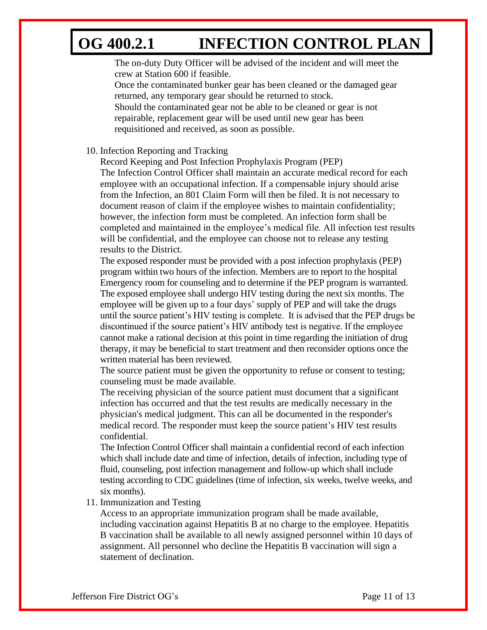The on-duty Duty Officer will be advised of the incident and will meet the crew at Station 600 if feasible.

Once the contaminated bunker gear has been cleaned or the damaged gear returned, any temporary gear should be returned to stock.

Should the contaminated gear not be able to be cleaned or gear is not repairable, replacement gear will be used until new gear has been requisitioned and received, as soon as possible.

10. Infection Reporting and Tracking

Record Keeping and Post Infection Prophylaxis Program (PEP) The Infection Control Officer shall maintain an accurate medical record for each employee with an occupational infection. If a compensable injury should arise from the Infection, an 801 Claim Form will then be filed. It is not necessary to document reason of claim if the employee wishes to maintain confidentiality; however, the infection form must be completed. An infection form shall be completed and maintained in the employee's medical file. All infection test results will be confidential, and the employee can choose not to release any testing results to the District.

The exposed responder must be provided with a post infection prophylaxis (PEP) program within two hours of the infection. Members are to report to the hospital Emergency room for counseling and to determine if the PEP program is warranted. The exposed employee shall undergo HIV testing during the next six months. The employee will be given up to a four days' supply of PEP and will take the drugs until the source patient's HIV testing is complete. It is advised that the PEP drugs be discontinued if the source patient's HIV antibody test is negative. If the employee cannot make a rational decision at this point in time regarding the initiation of drug therapy, it may be beneficial to start treatment and then reconsider options once the written material has been reviewed.

The source patient must be given the opportunity to refuse or consent to testing; counseling must be made available.

The receiving physician of the source patient must document that a significant infection has occurred and that the test results are medically necessary in the physician's medical judgment. This can all be documented in the responder's medical record. The responder must keep the source patient's HIV test results confidential.

The Infection Control Officer shall maintain a confidential record of each infection which shall include date and time of infection, details of infection, including type of fluid, counseling, post infection management and follow-up which shall include testing according to CDC guidelines (time of infection, six weeks, twelve weeks, and six months).

#### 11. Immunization and Testing

Access to an appropriate immunization program shall be made available, including vaccination against Hepatitis B at no charge to the employee. Hepatitis B vaccination shall be available to all newly assigned personnel within 10 days of assignment. All personnel who decline the Hepatitis B vaccination will sign a statement of declination.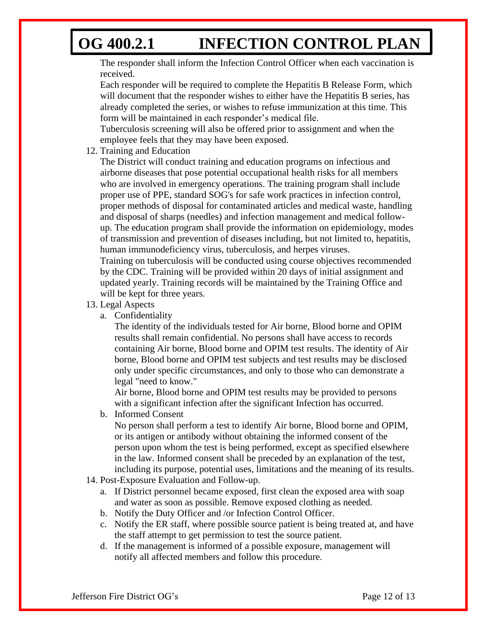The responder shall inform the Infection Control Officer when each vaccination is received.

Each responder will be required to complete the Hepatitis B Release Form, which will document that the responder wishes to either have the Hepatitis B series, has already completed the series, or wishes to refuse immunization at this time. This form will be maintained in each responder's medical file.

Tuberculosis screening will also be offered prior to assignment and when the employee feels that they may have been exposed.

12. Training and Education

The District will conduct training and education programs on infectious and airborne diseases that pose potential occupational health risks for all members who are involved in emergency operations. The training program shall include proper use of PPE, standard SOG's for safe work practices in infection control, proper methods of disposal for contaminated articles and medical waste, handling and disposal of sharps (needles) and infection management and medical followup. The education program shall provide the information on epidemiology, modes of transmission and prevention of diseases including, but not limited to, hepatitis, human immunodeficiency virus, tuberculosis, and herpes viruses.

Training on tuberculosis will be conducted using course objectives recommended by the CDC. Training will be provided within 20 days of initial assignment and updated yearly. Training records will be maintained by the Training Office and will be kept for three years.

- 13. Legal Aspects
	- a. Confidentiality

The identity of the individuals tested for Air borne, Blood borne and OPIM results shall remain confidential. No persons shall have access to records containing Air borne, Blood borne and OPIM test results. The identity of Air borne, Blood borne and OPIM test subjects and test results may be disclosed only under specific circumstances, and only to those who can demonstrate a legal "need to know."

Air borne, Blood borne and OPIM test results may be provided to persons with a significant infection after the significant Infection has occurred.

b. Informed Consent

No person shall perform a test to identify Air borne, Blood borne and OPIM, or its antigen or antibody without obtaining the informed consent of the person upon whom the test is being performed, except as specified elsewhere in the law. Informed consent shall be preceded by an explanation of the test, including its purpose, potential uses, limitations and the meaning of its results.

- 14. Post-Exposure Evaluation and Follow-up.
	- a. If District personnel became exposed, first clean the exposed area with soap and water as soon as possible. Remove exposed clothing as needed.
	- b. Notify the Duty Officer and /or Infection Control Officer.
	- c. Notify the ER staff, where possible source patient is being treated at, and have the staff attempt to get permission to test the source patient.
	- d. If the management is informed of a possible exposure, management will notify all affected members and follow this procedure.